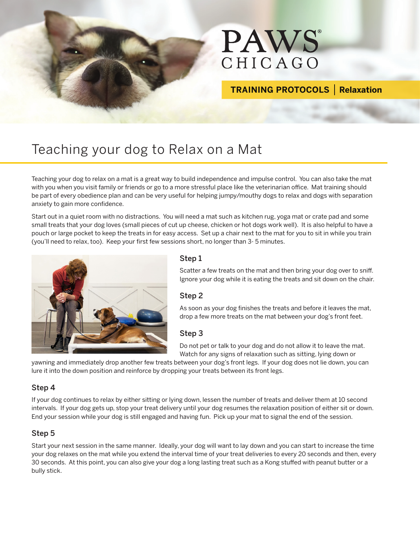

## **TRAINING PROTOCOLS | Relaxation**

# Teaching your dog to Relax on a Mat

Teaching your dog to relax on a mat is a great way to build independence and impulse control. You can also take the mat with you when you visit family or friends or go to a more stressful place like the veterinarian office. Mat training should be part of every obedience plan and can be very useful for helping jumpy/mouthy dogs to relax and dogs with separation anxiety to gain more confidence.

Start out in a quiet room with no distractions. You will need a mat such as kitchen rug, yoga mat or crate pad and some small treats that your dog loves (small pieces of cut up cheese, chicken or hot dogs work well). It is also helpful to have a pouch or large pocket to keep the treats in for easy access. Set up a chair next to the mat for you to sit in while you train (you'll need to relax, too). Keep your first few sessions short, no longer than 3- 5 minutes.



#### Step 1

Scatter a few treats on the mat and then bring your dog over to sniff. Ignore your dog while it is eating the treats and sit down on the chair.

#### Step 2

As soon as your dog finishes the treats and before it leaves the mat, drop a few more treats on the mat between your dog's front feet.

#### Step 3

Do not pet or talk to your dog and do not allow it to leave the mat. Watch for any signs of relaxation such as sitting, lying down or

yawning and immediately drop another few treats between your dog's front legs. If your dog does not lie down, you can lure it into the down position and reinforce by dropping your treats between its front legs.

#### Step 4

If your dog continues to relax by either sitting or lying down, lessen the number of treats and deliver them at 10 second intervals. If your dog gets up, stop your treat delivery until your dog resumes the relaxation position of either sit or down. End your session while your dog is still engaged and having fun. Pick up your mat to signal the end of the session.

#### Step 5

Start your next session in the same manner. Ideally, your dog will want to lay down and you can start to increase the time your dog relaxes on the mat while you extend the interval time of your treat deliveries to every 20 seconds and then, every 30 seconds. At this point, you can also give your dog a long lasting treat such as a Kong stuffed with peanut butter or a bully stick.